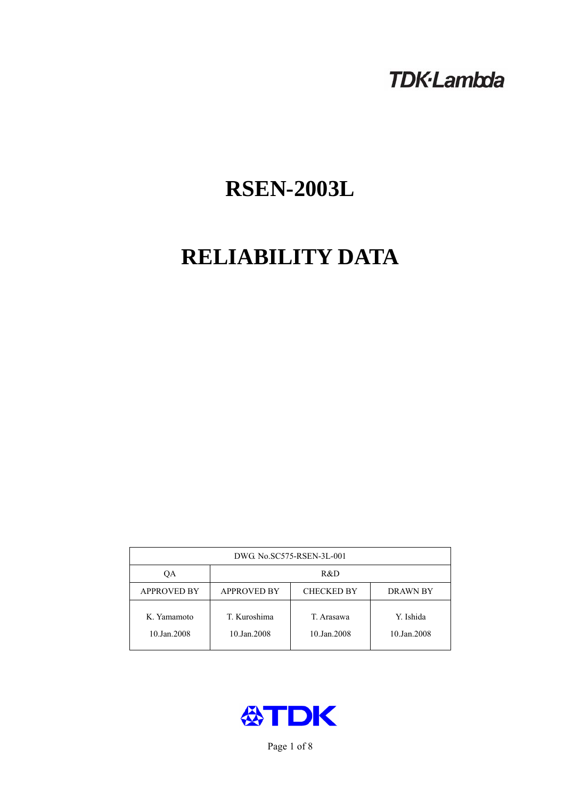# **TDK-Lambda**

# **RSEN-2003L**

# **RELIABILITY DATA**

| DWG No.SC575-RSEN-3L-001   |                                                            |                           |                          |  |  |
|----------------------------|------------------------------------------------------------|---------------------------|--------------------------|--|--|
| ОA                         | R&D                                                        |                           |                          |  |  |
| <b>APPROVED BY</b>         | <b>APPROVED BY</b><br><b>CHECKED BY</b><br><b>DRAWN BY</b> |                           |                          |  |  |
| K. Yamamoto<br>10.Jan.2008 | T. Kuroshima<br>10.Jan.2008                                | T. Arasawa<br>10.Jan.2008 | Y. Ishida<br>10.Jan.2008 |  |  |



Page 1 of 8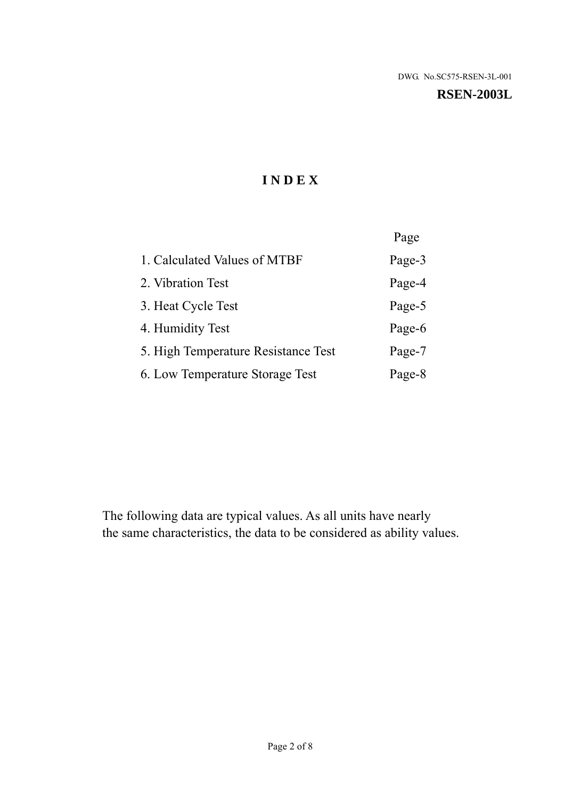#### **RSEN-2003L**

# **I N D E X**

|                                     | Page   |
|-------------------------------------|--------|
| 1. Calculated Values of MTBF        | Page-3 |
| 2. Vibration Test                   | Page-4 |
| 3. Heat Cycle Test                  | Page-5 |
| 4. Humidity Test                    | Page-6 |
| 5. High Temperature Resistance Test | Page-7 |
| 6. Low Temperature Storage Test     | Page-8 |

The following data are typical values. As all units have nearly the same characteristics, the data to be considered as ability values.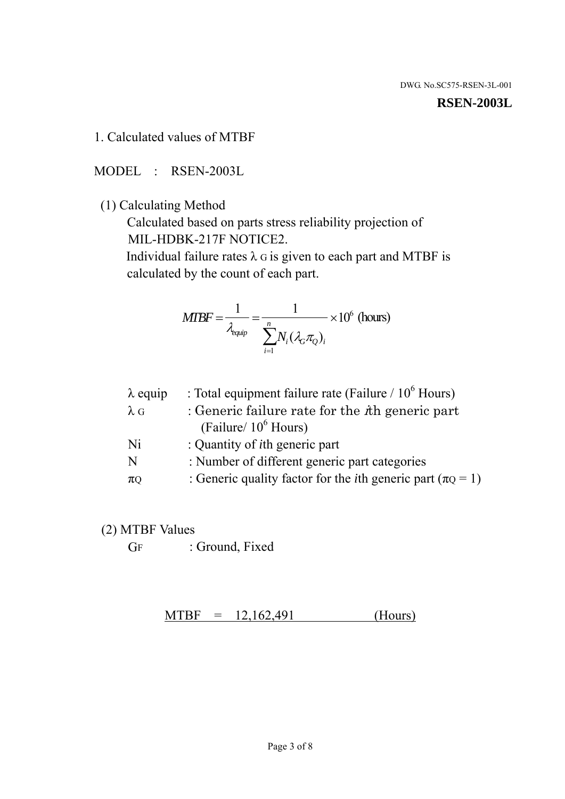#### **RSEN-2003L**

1. Calculated values of MTBF

MODEL : RSEN-2003L

(1) Calculating Method

 Calculated based on parts stress reliability projection of MIL-HDBK-217F NOTICE2.

Individual failure rates  $\lambda$  G is given to each part and MTBF is calculated by the count of each part.

$$
MTBF = \frac{1}{\lambda_{\text{equip}}} = \frac{1}{\sum_{i=1}^{n} N_i (\lambda_G \pi_Q)_i} \times 10^6 \text{ (hours)}
$$

| $\lambda$ equip | : Total equipment failure rate (Failure / $10^6$ Hours)                   |
|-----------------|---------------------------------------------------------------------------|
| $\lambda$ G     | : Generic failure rate for the $\hbar$ generic part                       |
|                 | (Failure/ $10^6$ Hours)                                                   |
| Ni              | : Quantity of <i>i</i> th generic part                                    |
| N               | : Number of different generic part categories                             |
| $\pi Q$         | : Generic quality factor for the <i>i</i> th generic part ( $\pi Q = 1$ ) |
|                 |                                                                           |

- (2) MTBF Values
	- GF : Ground, Fixed

 $MTBF = 12,162,491$  (Hours)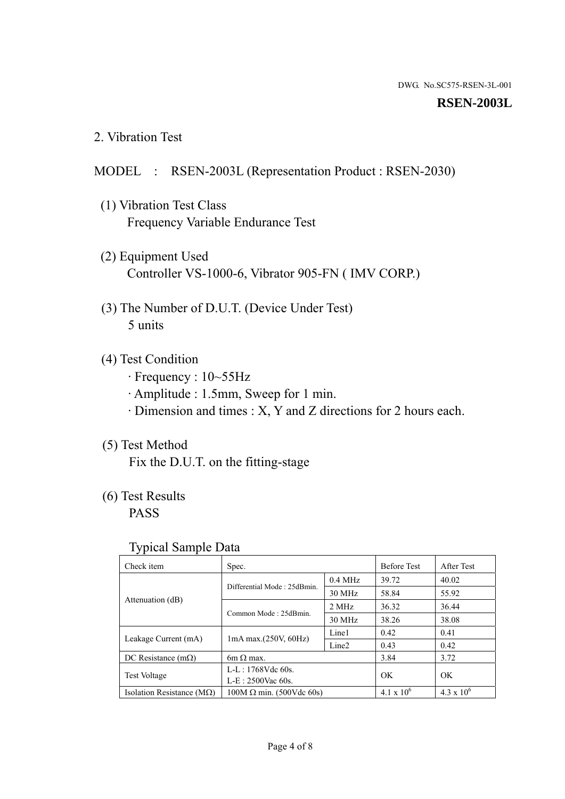#### **RSEN-2003L**

2. Vibration Test

#### MODEL : RSEN-2003L (Representation Product : RSEN-2030)

- (1) Vibration Test Class Frequency Variable Endurance Test
- (2) Equipment Used Controller VS-1000-6, Vibrator 905-FN ( IMV CORP.)
- (3) The Number of D.U.T. (Device Under Test) 5 units
- (4) Test Condition
	- · Frequency : 10~55Hz
	- · Amplitude : 1.5mm, Sweep for 1 min.
	- · Dimension and times : X, Y and Z directions for 2 hours each.

## (5) Test Method

Fix the D.U.T. on the fitting-stage

## (6) Test Results

PASS

#### Typical Sample Data

| ັ່                                 |                                                         |           |                     |                     |
|------------------------------------|---------------------------------------------------------|-----------|---------------------|---------------------|
| Check item                         | Spec.                                                   |           | <b>Before Test</b>  | After Test          |
|                                    | Differential Mode: 25dBmin.                             | $0.4$ MHz | 39.72               | 40.02               |
|                                    |                                                         | 30 MHz    | 58.84               | 55.92               |
| Attenuation (dB)                   | Common Mode: 25dBmin.                                   | 2 MHz     | 36.32               | 36.44               |
|                                    |                                                         | 30 MHz    | 38.26               | 38.08               |
| Leakage Current (mA)               | Line1<br>$1mA$ max. $(250V, 60Hz)$<br>Line <sub>2</sub> |           | 0.42                | 0.41                |
|                                    |                                                         |           | 0.43                | 0.42                |
| DC Resistance $(m\Omega)$          | 6m $\Omega$ max.                                        |           | 3.84                | 3.72                |
| <b>Test Voltage</b>                | $L-L: 1768Vdc$ 60s.                                     |           | OK                  | OK.                 |
|                                    | $L-E: 2500$ Vac 60s.                                    |           |                     |                     |
| Isolation Resistance ( $M\Omega$ ) | $100M \Omega$ min. (500Vdc 60s)                         |           | $4.1 \times 10^{6}$ | $4.3 \times 10^{6}$ |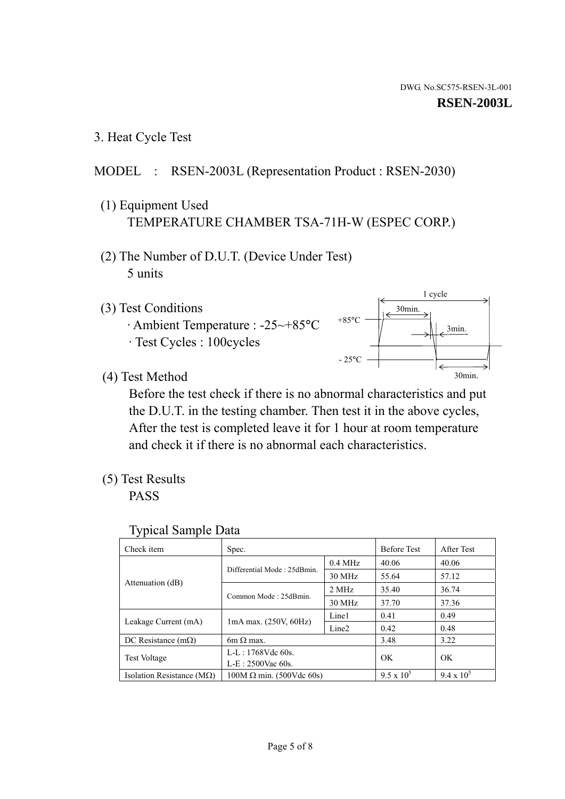3. Heat Cycle Test

## MODEL : RSEN-2003L (Representation Product : RSEN-2030)

- (1) Equipment Used TEMPERATURE CHAMBER TSA-71H-W (ESPEC CORP.)
- (2) The Number of D.U.T. (Device Under Test) 5 units
- (3) Test Conditions
	- · Ambient Temperature : -25~+85°C · Test Cycles : 100cycles



(4) Test Method

 Before the test check if there is no abnormal characteristics and put the D.U.T. in the testing chamber. Then test it in the above cycles, After the test is completed leave it for 1 hour at room temperature and check it if there is no abnormal each characteristics.

(5) Test Results

PASS

| <b>Typical Sample Data</b> |  |  |
|----------------------------|--|--|
|----------------------------|--|--|

| Check item                    | Spec.                                                                           |           | <b>Before Test</b> | After Test        |
|-------------------------------|---------------------------------------------------------------------------------|-----------|--------------------|-------------------|
|                               |                                                                                 | $0.4$ MHz | 40.06              | 40.06             |
|                               | Differential Mode: 25dBmin.                                                     | 30 MHz    | 55.64              | 57.12             |
| Attenuation (dB)              | Common Mode: 25dBmin.                                                           | 2 MHz     | 35.40              | 36.74             |
|                               |                                                                                 | 30 MHz    | 37.70              | 37.36             |
|                               | Line1<br>$1mA$ max. $(250V, 60Hz)$<br>Leakage Current (mA)<br>Line <sub>2</sub> |           | 0.41               | 0.49              |
|                               |                                                                                 |           | 0.42               | 0.48              |
| DC Resistance $(m\Omega)$     | $6m \Omega$ max.                                                                |           | 3.48               | 3.22              |
|                               | L-L: $1768V$ de $60s$ .                                                         |           | OK                 | OK                |
|                               | <b>Test Voltage</b><br>$L-E: 2500$ Vac 60s.                                     |           |                    |                   |
| Isolation Resistance ( $MQ$ ) | $100M \Omega$ min. (500Vdc 60s)                                                 |           | $9.5 \times 10^5$  | $9.4 \times 10^5$ |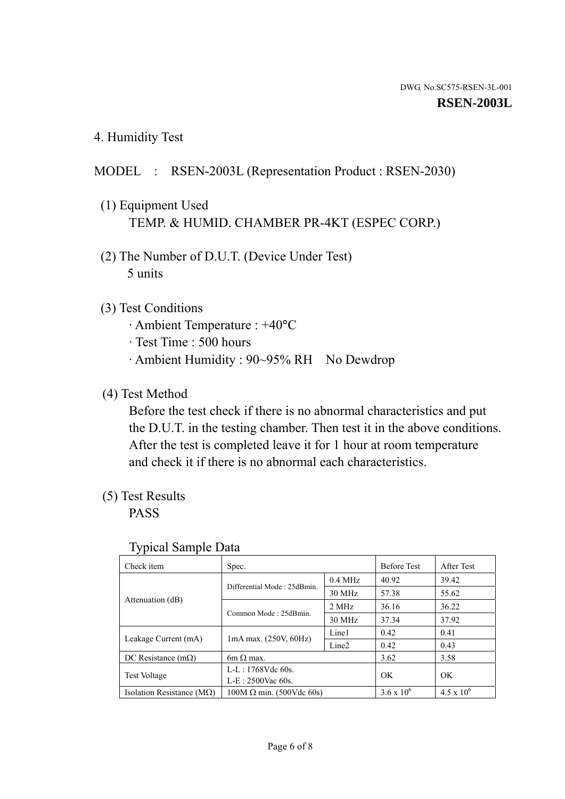4. Humidity Test

### MODEL : RSEN-2003L (Representation Product : RSEN-2030)

- (1) Equipment Used TEMP. & HUMID. CHAMBER PR-4KT (ESPEC CORP.)
- (2) The Number of D.U.T. (Device Under Test) 5 units

#### (3) Test Conditions

- · Ambient Temperature : +40°C
- · Test Time : 500 hours
- · Ambient Humidity : 90~95% RH No Dewdrop

#### (4) Test Method

 Before the test check if there is no abnormal characteristics and put the D.U.T. in the testing chamber. Then test it in the above conditions. After the test is completed leave it for 1 hour at room temperature and check it if there is no abnormal each characteristics.

### (5) Test Results

PASS

| . .                                |                                 |                   |                     |                     |
|------------------------------------|---------------------------------|-------------------|---------------------|---------------------|
| Check item                         | Spec.                           |                   | <b>Before Test</b>  | After Test          |
|                                    | Differential Mode: 25dBmin.     | $0.4$ MHz         | 40.92               | 39.42               |
|                                    |                                 | 30 MHz            | 57.38               | 55.62               |
| Attenuation (dB)                   | Common Mode: 25dBmin.           | 2 MHz             | 36.16               | 36.22               |
|                                    |                                 | 30 MHz            | 37.34               | 37.92               |
| Leakage Current (mA)               | $1mA$ max. $(250V, 60Hz)$       | Line1             | 0.42                | 0.41                |
|                                    |                                 | Line <sub>2</sub> | 0.42                | 0.43                |
| DC Resistance (m $\Omega$ )        | $6m \Omega$ max.                |                   | 3.62                | 3.58                |
| <b>Test Voltage</b>                | $L-L: 1768Vdc$ 60s.             |                   | OK                  |                     |
|                                    | $L-E$ : 2500Vac 60s.            |                   |                     | OK.                 |
| Isolation Resistance ( $M\Omega$ ) | $100M \Omega$ min. (500Vdc 60s) |                   | $3.6 \times 10^{6}$ | $4.5 \times 10^{6}$ |

#### Typical Sample Data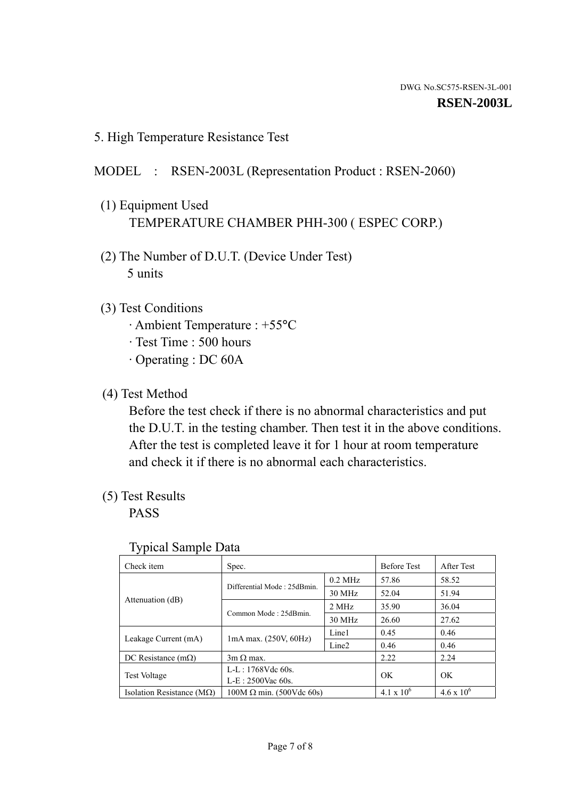5. High Temperature Resistance Test

## MODEL : RSEN-2003L (Representation Product : RSEN-2060)

- (1) Equipment Used TEMPERATURE CHAMBER PHH-300 ( ESPEC CORP.)
- (2) The Number of D.U.T. (Device Under Test) 5 units
- (3) Test Conditions
	- · Ambient Temperature : +55°C
	- · Test Time : 500 hours
	- · Operating : DC 60A
- (4) Test Method

 Before the test check if there is no abnormal characteristics and put the D.U.T. in the testing chamber. Then test it in the above conditions. After the test is completed leave it for 1 hour at room temperature and check it if there is no abnormal each characteristics.

(5) Test Results

PASS

| ╯┸                                                |                                 |           |                     |                     |
|---------------------------------------------------|---------------------------------|-----------|---------------------|---------------------|
| Check item                                        | Spec.                           |           | <b>Before Test</b>  | After Test          |
|                                                   | Differential Mode: 25dBmin.     | $0.2$ MHz | 57.86               | 58.52               |
|                                                   |                                 | 30 MHz    | 52.04               | 51.94               |
| Attenuation (dB)                                  | Common Mode: 25dBmin.           | 2 MHz     | 35.90               | 36.04               |
|                                                   |                                 | 30 MHz    | 26.60               | 27.62               |
| $1mA$ max. $(250V, 60Hz)$<br>Leakage Current (mA) |                                 | Line1     | 0.45                | 0.46                |
|                                                   | Line <sub>2</sub>               | 0.46      | 0.46                |                     |
| DC Resistance $(m\Omega)$                         | $3m \Omega$ max.                |           | 2.22                | 2.24                |
| <b>Test Voltage</b>                               | $L-L: 1768Vdc$ 60s.             |           | OK                  | OK                  |
|                                                   | $L-E: 2500$ Vac 60s.            |           |                     |                     |
| Isolation Resistance ( $M\Omega$ )                | $100M \Omega$ min. (500Vdc 60s) |           | $4.1 \times 10^{6}$ | $4.6 \times 10^{6}$ |

#### Typical Sample Data